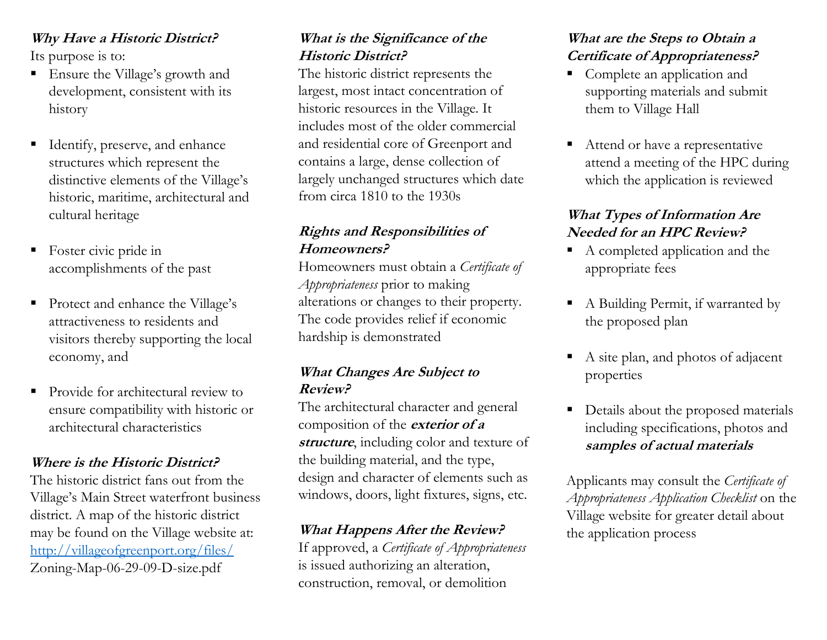### **Why Have a Historic District?** Its purpose is to:

- Ensure the Village's growth and development, consistent with its history
- Identify, preserve, and enhance structures which represent the distinctive elements of the Village's historic, maritime, architectural and cultural heritage
- **Example 1** Foster civic pride in accomplishments of the past
- Protect and enhance the Village's attractiveness to residents and visitors thereby supporting the local economy, and
- Provide for architectural review to ensure compatibility with historic or architectural characteristics

#### **Where is the Historic District?**

The historic district fans out from the Village's Main Street waterfront business district. A map of the historic district may be found on the Village website at: <http://villageofgreenport.org/files/> Zoning-Map-06-29-09-D-size.pdf

# **What is the Significance of the Historic District?**

The historic district represents the largest, most intact concentration of historic resources in the Village. It includes most of the older commercial and residential core of Greenport and contains a large, dense collection of largely unchanged structures which date from circa 1810 to the 1930s

#### **Rights and Responsibilities of Homeowners?**

Homeowners must obtain a *Certificate of Appropriateness* prior to making alterations or changes to their property. The code provides relief if economic hardship is demonstrated

# **What Changes Are Subject to Review?**

The architectural character and general composition of the **exterior of a structure**, including color and texture of the building material, and the type, design and character of elements such as windows, doors, light fixtures, signs, etc.

# **What Happens After the Review?**

If approved, a *Certificate of Appropriateness* is issued authorizing an alteration, construction, removal, or demolition

### **What are the Steps to Obtain a Certificate of Appropriateness?**

- Complete an application and supporting materials and submit them to Village Hall
- Attend or have a representative attend a meeting of the HPC during which the application is reviewed

### **What Types of Information Are Needed for an HPC Review?**

- A completed application and the appropriate fees
- A Building Permit, if warranted by the proposed plan
- A site plan, and photos of adjacent properties
- Details about the proposed materials including specifications, photos and **samples of actual materials**

Applicants may consult the *Certificate of Appropriateness Application Checklist* on the Village website for greater detail about the application process